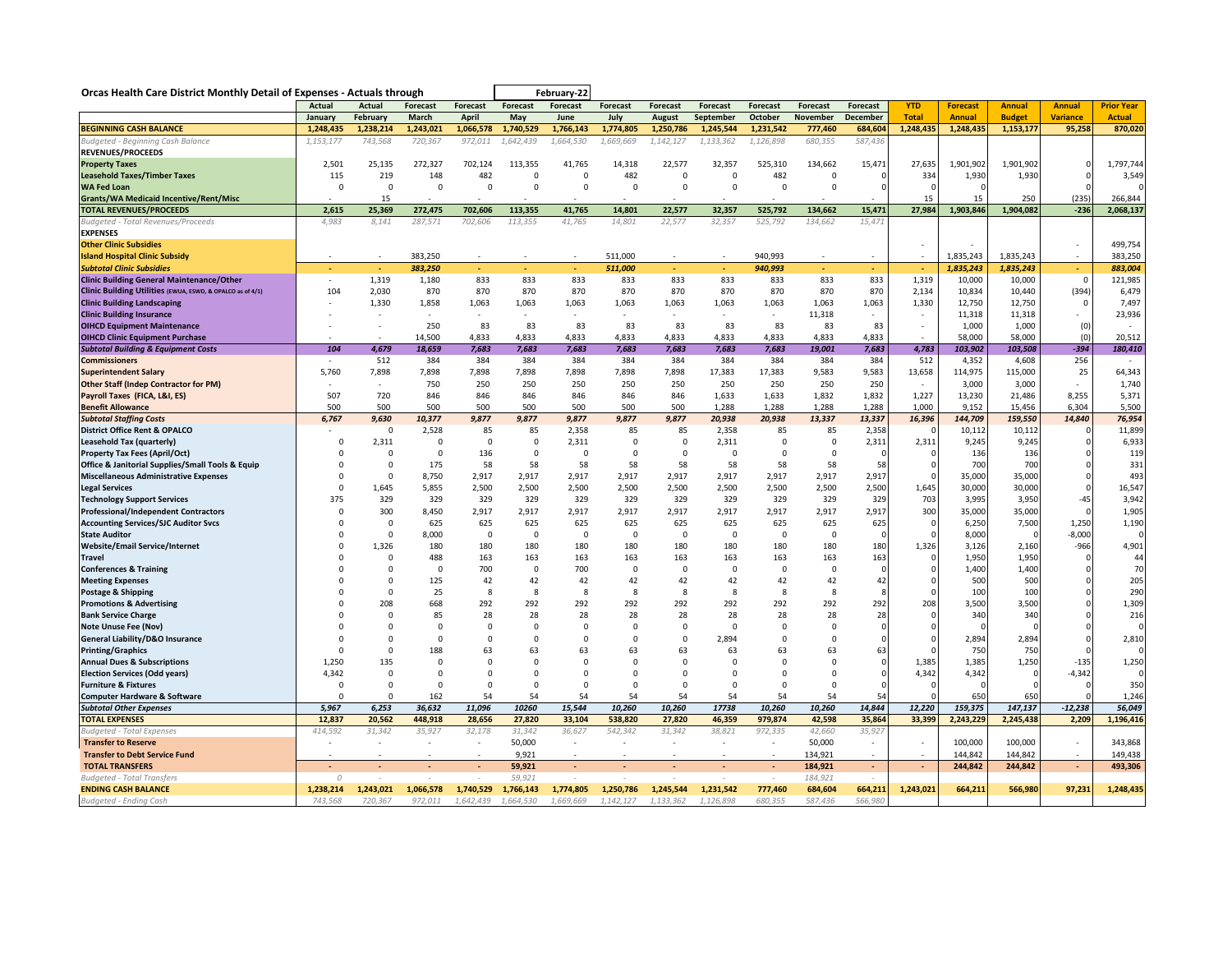| Orcas Health Care District Monthly Detail of Expenses - Actuals through      |             |                          |                          |                 |                  | February-22     |                   |                 |                  |                                     |                    |                 |                          |                 |                 |                          |                    |
|------------------------------------------------------------------------------|-------------|--------------------------|--------------------------|-----------------|------------------|-----------------|-------------------|-----------------|------------------|-------------------------------------|--------------------|-----------------|--------------------------|-----------------|-----------------|--------------------------|--------------------|
|                                                                              | Actual      | <b>Actual</b>            | <b>Forecast</b>          | <b>Forecast</b> | Forecast         | <b>Forecast</b> | <b>Forecast</b>   | <b>Forecast</b> | Forecast         | <b>Forecast</b>                     | <b>Forecast</b>    | <b>Forecast</b> | <b>YTD</b>               | <b>Forecast</b> | <b>Annual</b>   | <b>Annual</b>            | <b>Prior Year</b>  |
|                                                                              | January     | February                 | March                    | <b>April</b>    | May              | June            | July              | <b>August</b>   | September        | October                             | November           | December        | <b>Total</b>             | <b>Annual</b>   | <b>Budget</b>   | <b>Variance</b>          | <b>Actual</b>      |
| <b>BEGINNING CASH BALANCE</b>                                                | 1,248,435   | 1,238,214                | 1,243,021                | 1,066,578       | 1,740,529        | 1,766,143       | 1,774,805         | 1,250,786       | 1,245,544        | 1,231,542                           | 777,460            | 684,604         | 1,248,435                | 1,248,435       | 1,153,177       | 95,258                   | 870,020            |
| Budgeted - Beginning Cash Balance                                            | 1,153,177   | 743,568                  | 720,367                  | 972,011         | 1,642,439        | 1,664,530       | 1,669,669         | 1,142,127       | 1,133,362        | 1,126,898                           | 680,355            | 587,436         |                          |                 |                 |                          |                    |
| <b>REVENUES/PROCEEDS</b>                                                     |             |                          |                          |                 |                  |                 |                   |                 |                  |                                     |                    |                 |                          |                 |                 |                          |                    |
| <b>Property Taxes</b>                                                        | 2,501       | 25,135                   | 272,327                  | 702,124         | 113,355          | 41,765          | 14,318            | 22,577          | 32,357           | 525,310                             | 134,662            | 15,471          | 27,635                   | 1,901,902       | 1,901,902       |                          | 1,797,744          |
| <b>Leasehold Taxes/Timber Taxes</b>                                          | 115         | 219                      | 148                      | 482             | $\mathbf 0$      | $\mathbf 0$     | 482               | $\mathsf 0$     | $\mathsf 0$      | 482                                 | $\mathbf 0$        | 0               | 334                      | 1,930           | 1,930           |                          | 3,549              |
| <b>WA Fed Loan</b>                                                           | $\mathbf 0$ | $\mathbf 0$              | 0                        | $\Omega$        | $\Omega$         | $\Omega$        | $\mathsf 0$       | $\mathbf 0$     | 0                | 0                                   | $\mathbf 0$        | O               |                          | $\cap$          |                 |                          | $\Omega$           |
| <b>Grants/WA Medicaid Incentive/Rent/Misc</b>                                |             | 15                       |                          |                 |                  |                 |                   |                 |                  |                                     |                    |                 | 15                       | 15              | 250             | (235)                    | 266,844            |
| <b>TOTAL REVENUES/PROCEEDS</b>                                               | 2,615       | 25,369                   | 272,475                  | 702,606         | 113,355          | 41,765          | 14,801            | 22,577          | 32,357           | 525,792                             | 134,662            | 15,471          | 27,984                   | 1,903,846       | 1,904,082       | $-236$                   | 2,068,137          |
| Budgeted - Total Revenues/Proceeds                                           | 4,983       | 8,141                    | 287,571                  | 702,606         | 113,355          | 41,765          | 14,801            | 22,577          | 32,357           | 525,792                             | 134,662            | 15,471          |                          |                 |                 |                          |                    |
| <b>EXPENSES</b>                                                              |             |                          |                          |                 |                  |                 |                   |                 |                  |                                     |                    |                 |                          |                 |                 |                          |                    |
| <b>Other Clinic Subsidies</b>                                                |             |                          |                          |                 |                  |                 |                   |                 |                  |                                     |                    |                 | ٠                        |                 |                 |                          | 499,754            |
| <b>Island Hospital Clinic Subsidy</b>                                        |             | $\overline{\phantom{a}}$ | 383,250                  |                 |                  |                 | 511,000           |                 |                  | 940,993                             |                    |                 | ÷                        | 1,835,243       | 1,835,243       | $\sim$                   | 383,250            |
| <b>Subtotal Clinic Subsidies</b>                                             | ÷.          | i.                       | 383,250                  | ÷.              | ÷.               | ÷.              | 511,000           | ÷.              | ÷.               | 940,993                             | ÷.                 | ÷.              | ÷.                       | 1,835,243       | 1,835,243       | $\sim$                   | 883,004            |
| <b>Clinic Building General Maintenance/Other</b>                             | $\sim$      | 1,319                    | 1,180                    | 833             | 833              | 833             | 833               | 833             | 833              | 833                                 | 833                | 833             | 1,319                    | 10,000          | 10,000          | $\Omega$                 | 121,985            |
| Clinic Building Utilities (EWUA, ESWD, & OPALCO as of 4/1)                   | 104         | 2,030                    | 870                      | 870             | 870              | 870             | 870               | 870             | 870              | 870                                 | 870                | 870             | 2,134                    | 10,834          | 10,440          | (394)                    | 6,479              |
| <b>Clinic Building Landscaping</b><br><b>Clinic Building Insurance</b>       |             | 1,330                    | 1,858                    | 1,063           | 1,063            | 1,063           | 1,063             | 1,063           | 1,063            | 1,063                               | 1,063              | 1,063           | 1,330<br>٠               | 12,750          | 12,750          | $\mathbf 0$              | 7,497<br>23,936    |
|                                                                              |             |                          | 250                      | 83              | 83               | 83              | 83                | 83              | 83               | 83                                  | 11,318<br>83       | 83              |                          | 11,318<br>1,000 | 11,318<br>1,000 |                          |                    |
| <b>OIHCD Equipment Maintenance</b><br><b>OIHCD Clinic Equipment Purchase</b> |             |                          |                          |                 |                  | 4,833           |                   | 4,833           |                  |                                     |                    | 4,833           |                          | 58,000          | 58,000          | (0)                      | 20,512             |
| <b>Subtotal Building &amp; Equipment Costs</b>                               | 104         | 4,679                    | 14,500<br>18,659         | 4,833<br>7,683  | 4,833<br>7,683   | 7,683           | 4,833<br>7,683    |                 | 4,833<br>7,683   | 4,833<br>7,683                      | 4,833<br>19,001    | 7,683           | 4,783                    | 103,902         | 103,508         | (0)<br>$-394$            | 180,410            |
| <b>Commissioners</b>                                                         |             | 512                      | 384                      | 384             | 384              | 384             | 384               | 7,683<br>384    | 384              | 384                                 | 384                | 384             | 512                      | 4,352           | 4,608           | 256                      |                    |
| <b>Superintendent Salary</b>                                                 | 5.760       | 7.898                    | 7.898                    | 7,898           | 7.898            | 7.898           | 7.898             | 7.898           | 17,383           | 17.383                              | 9,583              | 9,583           | 13,658                   | 114,975         | 115,000         | 25                       | 64,343             |
| <b>Other Staff (Indep Contractor for PM)</b>                                 |             |                          | 750                      | 250             | 250              | 250             | 250               | 250             | 250              | 250                                 | 250                | 250             |                          | 3,000           | 3,000           |                          | 1,740              |
| Payroll Taxes (FICA, L&I, ES)                                                | 507         | 720                      | 846                      | 846             | 846              | 846             | 846               | 846             | 1,633            | 1,633                               | 1,832              | 1,832           | 1,227                    | 13,230          | 21,486          | 8,255                    | 5,371              |
| <b>Benefit Allowance</b>                                                     | 500         | 500                      | 500                      | 500             | 500              | 500             | 500               | 500             | 1,288            | 1,288                               | 1,288              | 1,288           | 1,000                    | 9,152           | 15,456          | 6,304                    | 5,500              |
| <b>Subtotal Staffing Costs</b>                                               | 6,767       | 9,630                    | 10,377                   | 9,877           | 9,877            | 9,877           | 9,877             | 9,877           | 20,938           | 20,938                              | 13,337             | 13,337          | 16,396                   | 144,709         | 159,550         | 14,840                   | 76,954             |
| <b>District Office Rent &amp; OPALCO</b>                                     |             | $\mathbf 0$              | 2,528                    | 85              | 85               | 2,358           | 85                | 85              | 2,358            | 85                                  | 85                 | 2,358           |                          | 10,112          | 10,112          |                          | 11,899             |
| Leasehold Tax (quarterly)                                                    | $\Omega$    | 2,311                    | $\Omega$                 | $\Omega$        | $\Omega$         | 2,311           | 0                 | 0               | 2,311            | $\Omega$                            | $\Omega$           | 2,311           | 2,311                    | 9,245           | 9,245           |                          | 6,933              |
| <b>Property Tax Fees (April/Oct)</b>                                         | 0           | $\mathbf 0$              | 0                        | 136             | $\mathbf 0$      | $\mathbf 0$     | 0                 | $\mathsf 0$     | $\mathbf 0$      | 0                                   | 0                  | $\Omega$        |                          | 136             | 136             |                          | 119                |
| Office & Janitorial Supplies/Small Tools & Equip                             | $\Omega$    | $\Omega$                 | 175                      | 58              | 58               | 58              | 58                | 58              | 58               | 58                                  | 58                 | 58              |                          | 700             | 700             |                          | 331                |
| <b>Miscellaneous Administrative Expenses</b>                                 | 0           | $\mathbf 0$              | 8,750                    | 2,917           | 2,917            | 2,917           | 2,917             | 2,917           | 2,917            | 2,917                               | 2,917              | 2,917           |                          | 35,000          | 35,000          | $\Omega$                 | 493                |
| <b>Legal Services</b>                                                        | $\Omega$    | 1,645                    | 5,855                    | 2,500           | 2,500            | 2,500           | 2,500             | 2,500           | 2,500            | 2,500                               | 2,500              | 2,500           | 1,645                    | 30,000          | 30,000          | $\Omega$                 | 16,547             |
| <b>Technology Support Services</b>                                           | 375         | 329                      | 329                      | 329             | 329              | 329             | 329               | 329             | 329              | 329                                 | 329                | 329             | 703                      | 3,995           | 3,950           | $-45$                    | 3,942              |
| <b>Professional/Independent Contractors</b>                                  | $\mathbf 0$ | 300                      | 8,450                    | 2,917           | 2,917            | 2,917           | 2,917             | 2,917           | 2,917            | 2,917                               | 2,917              | 2,917           | 300                      | 35,000          | 35,000          |                          | 1,905              |
| <b>Accounting Services/SJC Auditor Svcs</b>                                  | $\Omega$    | $\Omega$                 | 625                      | 625             | 625              | 625             | 625               | 625             | 625              | 625                                 | 625                | 625             |                          | 6,250           | 7,500           | 1,250                    | 1,190              |
| <b>State Auditor</b>                                                         | 0           | $\mathbf 0$              | 8,000                    | $\mathbf 0$     | $\Omega$         | $\Omega$        | 0                 | $\mathsf 0$     | 0                | $\mathbf 0$                         | 0                  | $\Omega$        |                          | 8,000           | $\Omega$        | $-8,000$                 | 0                  |
| <b>Website/Email Service/Internet</b>                                        | $\Omega$    | 1,326                    | 180                      | 180             | 180              | 180             | 180               | 180             | 180              | 180                                 | 180                | 180             | 1,326                    | 3,126           | 2,160           | $-966$                   | 4,901              |
| <b>Travel</b>                                                                | $\Omega$    | $\Omega$                 | 488                      | 163             | 163              | 163             | 163               | 163             | 163              | 163                                 | 163                | 163             |                          | 1,950           | 1,950           |                          | 44                 |
| <b>Conferences &amp; Training</b>                                            | $\Omega$    | $\mathbf 0$              | $\Omega$                 | 700             | $\Omega$         | 700             | 0                 | 0               | 0                | $\Omega$                            | 0                  | C               |                          | 1,400           | 1,400           |                          | 70                 |
| <b>Meeting Expenses</b>                                                      | $\Omega$    | $\mathbf 0$              | 125                      | 42              | 42               | 42              | 42                | 42              | 42               | 42                                  | 42                 | 42              |                          | 500             | 500             |                          | 205                |
| Postage & Shipping                                                           | $\Omega$    | $\mathbf 0$              | 25                       | 8               | 8                | 8               | 8                 | 8               | 8                | 8                                   | 8                  | 8               |                          | 100             | 100             | $\Omega$                 | 290                |
| <b>Promotions &amp; Advertising</b>                                          | $\Omega$    | 208                      | 668                      | 292             | 292              | 292             | 292               | 292             | 292              | 292                                 | 292                | 292             | 208                      | 3,500           | 3,500           |                          | 1,309              |
| <b>Bank Service Charge</b>                                                   | $\Omega$    | $\Omega$                 | 85                       | 28              | 28               | 28              | 28                | 28              | 28               | 28                                  | 28                 | 28              |                          | 340             | 340             |                          | 216                |
| <b>Note Unuse Fee (Nov)</b>                                                  | $\Omega$    | $\Omega$                 | $\Omega$                 | $\Omega$        | $\Omega$         | $\Omega$        | $\Omega$          | 0               | $\Omega$         | $\Omega$                            | $\Omega$           | $\Omega$        |                          |                 |                 |                          |                    |
| <b>General Liability/D&amp;O Insurance</b>                                   | $\Omega$    | 0                        | $\mathbf 0$              | $\Omega$        | $\mathbf 0$      | $\Omega$        | $\mathbf 0$       | $\mathbf 0$     | 2,894            | 0                                   | 0                  | $\Omega$        |                          | 2,894           | 2,894           |                          | 2,810              |
| <b>Printing/Graphics</b>                                                     | $\Omega$    | $\Omega$                 | 188                      | 63              | 63               | 63              | 63                | 63              | 63               | 63                                  | 63                 | 63              |                          | 750             | 750             |                          | $\Omega$           |
| <b>Annual Dues &amp; Subscriptions</b>                                       | 1,250       | 135                      | $\Omega$                 | $\Omega$        | $\Omega$         | $\Omega$        | $\Omega$          | $\Omega$        | $\Omega$         | $\Omega$                            | $\Omega$           | $\Omega$        | 1,385                    | 1,385           | 1,250           | $-135$                   | 1,250              |
| <b>Election Services (Odd years)</b>                                         | 4,342       | 0                        | 0                        | $\Omega$        | $\Omega$         | $\Omega$        | 0                 | $\mathbf 0$     | 0                | 0                                   | 0                  | 0               | 4,342                    | 4,342           | $\mathbf 0$     | $-4,342$                 | $\Omega$           |
| <b>Furniture &amp; Fixtures</b>                                              | $\Omega$    | $\Omega$                 | $\Omega$                 | $\Omega$        | $\Omega$         | $\Omega$        | $\Omega$          | $\Omega$        | $\Omega$         | $\Omega$                            | $\Omega$           | O               |                          | $\Omega$        | $\Omega$        |                          | 350                |
| <b>Computer Hardware &amp; Software</b>                                      | $\mathbf 0$ | $\Omega$                 | 162                      | 54              | 54               | 54              | 54                | 54              | 54               | 54                                  | 54                 | 54              |                          | 650             | 650             |                          | 1,246              |
| <b>Subtotal Other Expenses</b>                                               | 5,967       | 6,253                    | 36,632                   | 11,096          | 10260            | 15,544          | 10,260            | 10,260          | 17738            | 10,260                              | 10,260             | 14,844          | 12,220                   | 159,375         | 147,137         | $-12,238$                | 56,049             |
| <b>TOTAL EXPENSES</b>                                                        | 12,837      | 20,562                   | 448,918                  | 28,656          | 27,820           | 33,104          | 538,820           | 27,820          | 46,359           | 979,874                             | 42,598             | 35,864          | 33,399                   | 2,243,229       | 2,245,438       | 2,209                    | 1,196,416          |
| <b>Budgeted - Total Expenses</b><br><b>Transfer to Reserve</b>               | 414,592     | 31,342                   | 35,927<br>÷,             | 32,178          | 31,342<br>50,000 | 36,627          | 542,342<br>$\sim$ | 31,342          | 38,821<br>$\sim$ | 972,335<br>$\overline{\phantom{a}}$ | 42,660<br>50,000   | 35,927          |                          | 100,000         | 100,000         | $\overline{\phantom{a}}$ | 343,868            |
|                                                                              |             | $\overline{\phantom{a}}$ | $\overline{\phantom{a}}$ | $\sim$          | 9,921            | $\sim$          | $\sim$            | $\sim$          | $\sim$           | $\sim$                              |                    | $\sim$          | $\sim$                   | 144,842         | 144,842         | $\sim$                   |                    |
| <b>Transfer to Debt Service Fund</b>                                         |             |                          |                          |                 | 59,921           |                 |                   |                 |                  |                                     | 134,921<br>184,921 | $\blacksquare$  | $\overline{\phantom{a}}$ | 244,842         | 244,842         | $\blacksquare$           | 149,438<br>493,306 |
| <b>TOTAL TRANSFERS</b><br><b>Budgeted - Total Transfers</b>                  | $\Omega$    |                          |                          |                 | 59.921           |                 |                   |                 |                  |                                     | 184,921            |                 |                          |                 |                 |                          |                    |
| <b>ENDING CASH BALANCE</b>                                                   | 1,238,214   | 1,243,021                | 1,066,578                | 1,740,529       | 1,766,143        | 1,774,805       | 1,250,786         | 1,245,544       | 1,231,542        | 777,460                             | 684,604            | 664,211         | 1,243,021                | 664,211         | 566,980         | 97,231                   | 1,248,435          |
| Budgeted - Ending Cash                                                       | 743.568     | 720.367                  | 972.011                  | 1.642.439       | 1.664.530        | 1.669.669       | 1.142.127         | 1.133.362       | 1.126.898        | 680.355                             | 587.436            | 566.980         |                          |                 |                 |                          |                    |